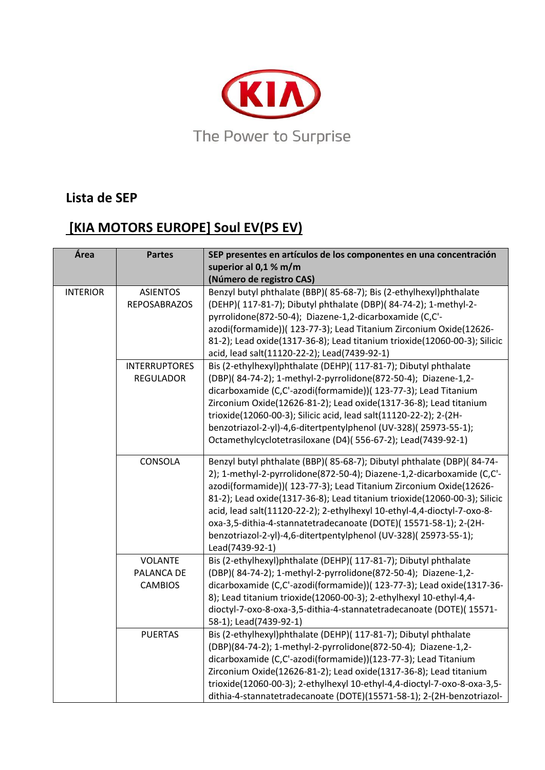

## **Lista de SEP**

## **[KIA MOTORS EUROPE] Soul EV(PS EV)**

| Área            | <b>Partes</b>                                  | SEP presentes en artículos de los componentes en una concentración<br>superior al 0,1 % m/m<br>(Número de registro CAS)                                                                                                                                                                                                                                                                                                                                                                                                                 |
|-----------------|------------------------------------------------|-----------------------------------------------------------------------------------------------------------------------------------------------------------------------------------------------------------------------------------------------------------------------------------------------------------------------------------------------------------------------------------------------------------------------------------------------------------------------------------------------------------------------------------------|
| <b>INTERIOR</b> | <b>ASIENTOS</b><br><b>REPOSABRAZOS</b>         | Benzyl butyl phthalate (BBP)(85-68-7); Bis (2-ethylhexyl)phthalate<br>(DEHP)( 117-81-7); Dibutyl phthalate (DBP)( 84-74-2); 1-methyl-2-<br>pyrrolidone(872-50-4); Diazene-1,2-dicarboxamide (C,C'-<br>azodi(formamide))( 123-77-3); Lead Titanium Zirconium Oxide(12626-<br>81-2); Lead oxide(1317-36-8); Lead titanium trioxide(12060-00-3); Silicic<br>acid, lead salt(11120-22-2); Lead(7439-92-1)                                                                                                                                   |
|                 | <b>INTERRUPTORES</b><br><b>REGULADOR</b>       | Bis (2-ethylhexyl)phthalate (DEHP)( 117-81-7); Dibutyl phthalate<br>(DBP)(84-74-2); 1-methyl-2-pyrrolidone(872-50-4); Diazene-1,2-<br>dicarboxamide (C,C'-azodi(formamide))( 123-77-3); Lead Titanium<br>Zirconium Oxide(12626-81-2); Lead oxide(1317-36-8); Lead titanium<br>trioxide(12060-00-3); Silicic acid, lead salt(11120-22-2); 2-(2H-<br>benzotriazol-2-yl)-4,6-ditertpentylphenol (UV-328)(25973-55-1);<br>Octamethylcyclotetrasiloxane (D4)(556-67-2); Lead(7439-92-1)                                                      |
|                 | CONSOLA                                        | Benzyl butyl phthalate (BBP)(85-68-7); Dibutyl phthalate (DBP)(84-74-<br>2); 1-methyl-2-pyrrolidone(872-50-4); Diazene-1,2-dicarboxamide (C,C'-<br>azodi(formamide))( 123-77-3); Lead Titanium Zirconium Oxide(12626-<br>81-2); Lead oxide(1317-36-8); Lead titanium trioxide(12060-00-3); Silicic<br>acid, lead salt(11120-22-2); 2-ethylhexyl 10-ethyl-4,4-dioctyl-7-oxo-8-<br>oxa-3,5-dithia-4-stannatetradecanoate (DOTE)(15571-58-1); 2-(2H-<br>benzotriazol-2-yl)-4,6-ditertpentylphenol (UV-328)(25973-55-1);<br>Lead(7439-92-1) |
|                 | <b>VOLANTE</b><br>PALANCA DE<br><b>CAMBIOS</b> | Bis (2-ethylhexyl)phthalate (DEHP)( 117-81-7); Dibutyl phthalate<br>(DBP)(84-74-2); 1-methyl-2-pyrrolidone(872-50-4); Diazene-1,2-<br>dicarboxamide (C,C'-azodi(formamide))( 123-77-3); Lead oxide(1317-36-<br>8); Lead titanium trioxide(12060-00-3); 2-ethylhexyl 10-ethyl-4,4-<br>dioctyl-7-oxo-8-oxa-3,5-dithia-4-stannatetradecanoate (DOTE)(15571-<br>58-1); Lead(7439-92-1)                                                                                                                                                      |
|                 | <b>PUERTAS</b>                                 | Bis (2-ethylhexyl)phthalate (DEHP)( 117-81-7); Dibutyl phthalate<br>(DBP)(84-74-2); 1-methyl-2-pyrrolidone(872-50-4); Diazene-1,2-<br>dicarboxamide (C,C'-azodi(formamide))(123-77-3); Lead Titanium<br>Zirconium Oxide(12626-81-2); Lead oxide(1317-36-8); Lead titanium<br>trioxide(12060-00-3); 2-ethylhexyl 10-ethyl-4,4-dioctyl-7-oxo-8-oxa-3,5-<br>dithia-4-stannatetradecanoate (DOTE)(15571-58-1); 2-(2H-benzotriazol-                                                                                                          |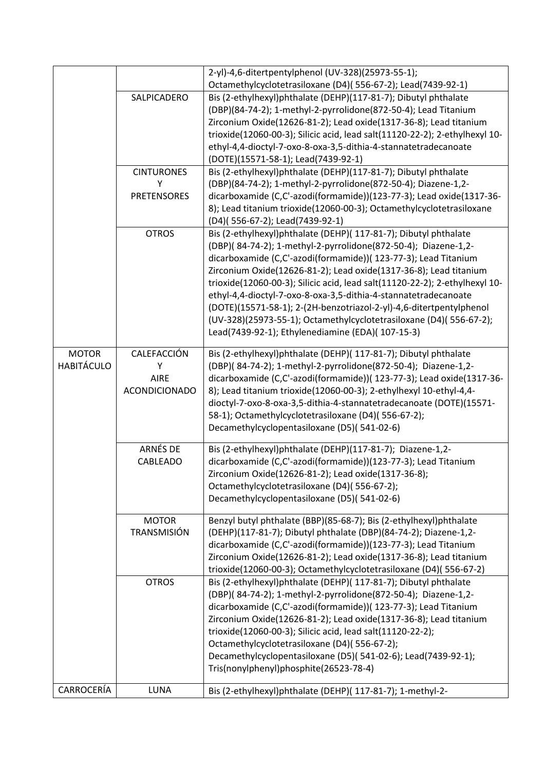|                                   |                                                         | 2-yl)-4,6-ditertpentylphenol (UV-328)(25973-55-1);<br>Octamethylcyclotetrasiloxane (D4)(556-67-2); Lead(7439-92-1)                                                                                                                                                                                                                                                                                                                                                                                                                                                                                                             |
|-----------------------------------|---------------------------------------------------------|--------------------------------------------------------------------------------------------------------------------------------------------------------------------------------------------------------------------------------------------------------------------------------------------------------------------------------------------------------------------------------------------------------------------------------------------------------------------------------------------------------------------------------------------------------------------------------------------------------------------------------|
|                                   | SALPICADERO                                             | Bis (2-ethylhexyl)phthalate (DEHP)(117-81-7); Dibutyl phthalate<br>(DBP)(84-74-2); 1-methyl-2-pyrrolidone(872-50-4); Lead Titanium<br>Zirconium Oxide(12626-81-2); Lead oxide(1317-36-8); Lead titanium<br>trioxide(12060-00-3); Silicic acid, lead salt(11120-22-2); 2-ethylhexyl 10-<br>ethyl-4,4-dioctyl-7-oxo-8-oxa-3,5-dithia-4-stannatetradecanoate<br>(DOTE)(15571-58-1); Lead(7439-92-1)                                                                                                                                                                                                                               |
|                                   | <b>CINTURONES</b><br>Υ                                  | Bis (2-ethylhexyl)phthalate (DEHP)(117-81-7); Dibutyl phthalate<br>(DBP)(84-74-2); 1-methyl-2-pyrrolidone(872-50-4); Diazene-1,2-                                                                                                                                                                                                                                                                                                                                                                                                                                                                                              |
|                                   | <b>PRETENSORES</b>                                      | dicarboxamide (C,C'-azodi(formamide))(123-77-3); Lead oxide(1317-36-<br>8); Lead titanium trioxide(12060-00-3); Octamethylcyclotetrasiloxane<br>(D4)(556-67-2); Lead(7439-92-1)                                                                                                                                                                                                                                                                                                                                                                                                                                                |
|                                   | <b>OTROS</b>                                            | Bis (2-ethylhexyl)phthalate (DEHP)( 117-81-7); Dibutyl phthalate<br>(DBP)(84-74-2); 1-methyl-2-pyrrolidone(872-50-4); Diazene-1,2-<br>dicarboxamide (C,C'-azodi(formamide))( 123-77-3); Lead Titanium<br>Zirconium Oxide(12626-81-2); Lead oxide(1317-36-8); Lead titanium<br>trioxide(12060-00-3); Silicic acid, lead salt(11120-22-2); 2-ethylhexyl 10-<br>ethyl-4,4-dioctyl-7-oxo-8-oxa-3,5-dithia-4-stannatetradecanoate<br>(DOTE)(15571-58-1); 2-(2H-benzotriazol-2-yl)-4,6-ditertpentylphenol<br>(UV-328)(25973-55-1); Octamethylcyclotetrasiloxane (D4)(556-67-2);<br>Lead(7439-92-1); Ethylenediamine (EDA)( 107-15-3) |
| <b>MOTOR</b><br><b>HABITÁCULO</b> | CALEFACCIÓN<br>Y<br><b>AIRE</b><br><b>ACONDICIONADO</b> | Bis (2-ethylhexyl)phthalate (DEHP)( 117-81-7); Dibutyl phthalate<br>(DBP)(84-74-2); 1-methyl-2-pyrrolidone(872-50-4); Diazene-1,2-<br>dicarboxamide (C,C'-azodi(formamide))( 123-77-3); Lead oxide(1317-36-<br>8); Lead titanium trioxide(12060-00-3); 2-ethylhexyl 10-ethyl-4,4-<br>dioctyl-7-oxo-8-oxa-3,5-dithia-4-stannatetradecanoate (DOTE)(15571-<br>58-1); Octamethylcyclotetrasiloxane (D4)(556-67-2);<br>Decamethylcyclopentasiloxane (D5)(541-02-6)                                                                                                                                                                 |
|                                   | ARNÉS DE<br>CABLEADO                                    | Bis (2-ethylhexyl)phthalate (DEHP)(117-81-7); Diazene-1,2-<br>dicarboxamide (C,C'-azodi(formamide))(123-77-3); Lead Titanium<br>Zirconium Oxide(12626-81-2); Lead oxide(1317-36-8);<br>Octamethylcyclotetrasiloxane (D4)(556-67-2);<br>Decamethylcyclopentasiloxane (D5)(541-02-6)                                                                                                                                                                                                                                                                                                                                             |
|                                   | <b>MOTOR</b><br><b>TRANSMISIÓN</b>                      | Benzyl butyl phthalate (BBP)(85-68-7); Bis (2-ethylhexyl)phthalate<br>(DEHP)(117-81-7); Dibutyl phthalate (DBP)(84-74-2); Diazene-1,2-<br>dicarboxamide (C,C'-azodi(formamide))(123-77-3); Lead Titanium<br>Zirconium Oxide(12626-81-2); Lead oxide(1317-36-8); Lead titanium<br>trioxide(12060-00-3); Octamethylcyclotetrasiloxane (D4)(556-67-2)                                                                                                                                                                                                                                                                             |
|                                   | <b>OTROS</b>                                            | Bis (2-ethylhexyl)phthalate (DEHP)( 117-81-7); Dibutyl phthalate<br>(DBP)(84-74-2); 1-methyl-2-pyrrolidone(872-50-4); Diazene-1,2-<br>dicarboxamide (C,C'-azodi(formamide))( 123-77-3); Lead Titanium<br>Zirconium Oxide(12626-81-2); Lead oxide(1317-36-8); Lead titanium<br>trioxide(12060-00-3); Silicic acid, lead salt(11120-22-2);<br>Octamethylcyclotetrasiloxane (D4)(556-67-2);<br>Decamethylcyclopentasiloxane (D5)(541-02-6); Lead(7439-92-1);<br>Tris(nonylphenyl)phosphite(26523-78-4)                                                                                                                            |
| CARROCERÍA                        | LUNA                                                    | Bis (2-ethylhexyl)phthalate (DEHP)( 117-81-7); 1-methyl-2-                                                                                                                                                                                                                                                                                                                                                                                                                                                                                                                                                                     |